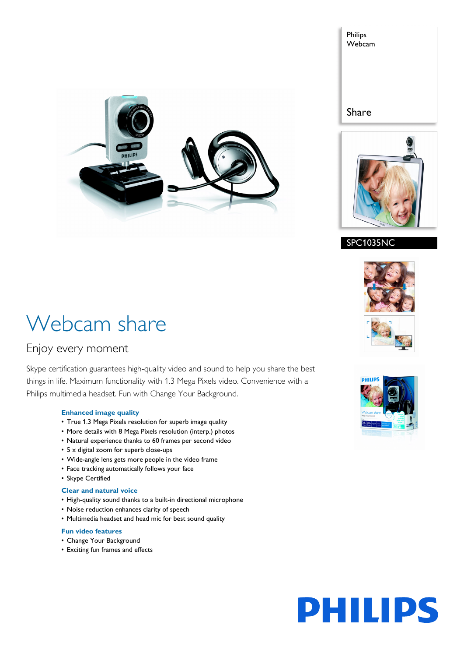





# SPC1035NC

# Webcam share

# Enjoy every moment

Skype certification guarantees high-quality video and sound to help you share the best things in life. Maximum functionality with 1.3 Mega Pixels video. Convenience with a Philips multimedia headset. Fun with Change Your Background.

# **Enhanced image quality**

- True 1.3 Mega Pixels resolution for superb image quality
- More details with 8 Mega Pixels resolution (interp.) photos
- Natural experience thanks to 60 frames per second video
- 5 x digital zoom for superb close-ups
- Wide-angle lens gets more people in the video frame
- Face tracking automatically follows your face
- Skype Certified

# **Clear and natural voice**

- High-quality sound thanks to a built-in directional microphone
- Noise reduction enhances clarity of speech
- Multimedia headset and head mic for best sound quality

# **Fun video features**

- Change Your Background
- Exciting fun frames and effects





# **PHILIPS**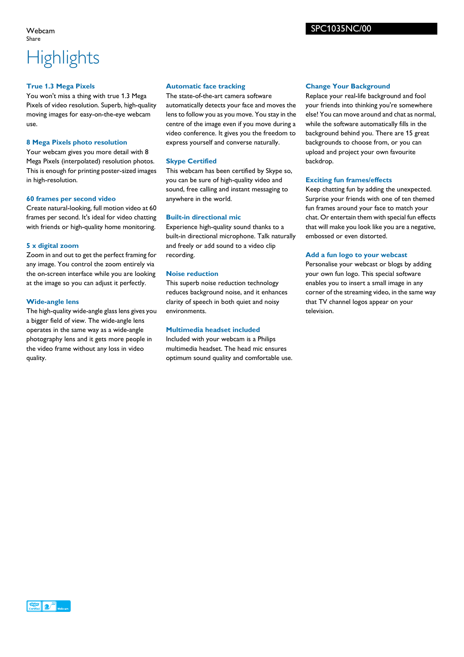#### Webcam Share

# **Highlights**

#### **True 1.3 Mega Pixels**

You won't miss a thing with true 1.3 Mega Pixels of video resolution. Superb, high-quality moving images for easy-on-the-eye webcam use.

### **8 Mega Pixels photo resolution**

Your webcam gives you more detail with 8 Mega Pixels (interpolated) resolution photos. This is enough for printing poster-sized images in high-resolution.

#### **60 frames per second video**

Create natural-looking, full motion video at 60 frames per second. It's ideal for video chatting with friends or high-quality home monitoring.

# **5 x digital zoom**

Zoom in and out to get the perfect framing for any image. You control the zoom entirely via the on-screen interface while you are looking at the image so you can adjust it perfectly.

# **Wide-angle lens**

The high-quality wide-angle glass lens gives you a bigger field of view. The wide-angle lens operates in the same way as a wide-angle photography lens and it gets more people in the video frame without any loss in video quality.

### **Automatic face tracking**

The state-of-the-art camera software automatically detects your face and moves the lens to follow you as you move. You stay in the centre of the image even if you move during a video conference. It gives you the freedom to express yourself and converse naturally.

# **Skype Certified**

This webcam has been certified by Skype so, you can be sure of high-quality video and sound, free calling and instant messaging to anywhere in the world.

# **Built-in directional mic**

Experience high-quality sound thanks to a built-in directional microphone. Talk naturally and freely or add sound to a video clip recording.

### **Noise reduction**

This superb noise reduction technology reduces background noise, and it enhances clarity of speech in both quiet and noisy environments.

#### **Multimedia headset included**

Included with your webcam is a Philips multimedia headset. The head mic ensures optimum sound quality and comfortable use.

### **Change Your Background**

Replace your real-life background and fool your friends into thinking you're somewhere else! You can move around and chat as normal, while the software automatically fills in the background behind you. There are 15 great backgrounds to choose from, or you can upload and project your own favourite backdrop.

#### **Exciting fun frames/effects**

Keep chatting fun by adding the unexpected. Surprise your friends with one of ten themed fun frames around your face to match your chat. Or entertain them with special fun effects that will make you look like you are a negative, embossed or even distorted.

### **Add a fun logo to your webcast**

Personalise your webcast or blogs by adding your own fun logo. This special software enables you to insert a small image in any corner of the streaming video, in the same way that TV channel logos appear on your television.

# SPC1035NC/00